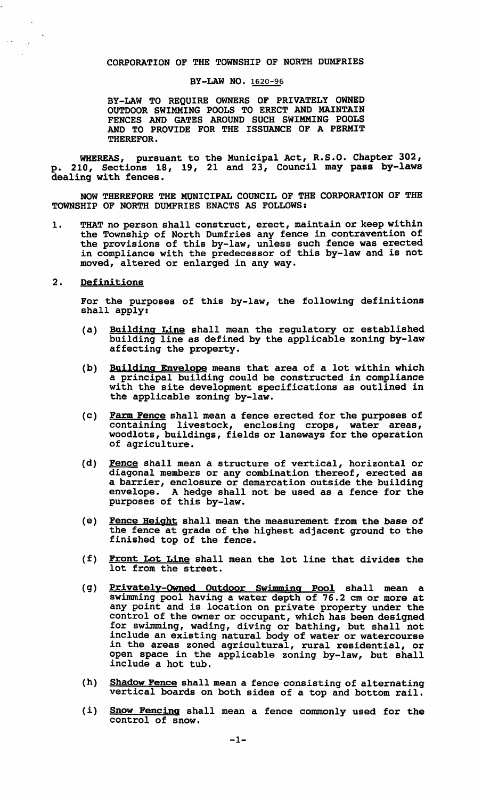## CORPORATION OF THE TOWNSHIP OF NORTH DUMFRIES

## BY-LAW NO. 1620-96

BY-LAW TO REQUIRE OWNERS OF PRIVATELY OWNED OUTDOOR SWIMMING POOLS TO ERECT AND MAINTAIN FENCES AND GATES AROUND SUCH SWIMMING POOLS AND TO PROVIDE FOR THE ISSUANCE OF A PERMIT THEREFOR.

WHEREAS, pursuant to the Municipal Act, R.S.O. Chapter 302, p. 210, Sections 18, 19, 21 and 23, Council may pass by-laws dealing with fences.

NOW THEREFORE THE MUNICIPAL COUNCIL OF THE CORPORATION OF THE TOWNSHIP OF NORTH DUMFRIES ENACTS AS FOLLOWS:

- 1. THAT no person shall construct, erect, maintain or keep within the Township of North Dumfries any fence in contravention of the provisions of this by-law, unless such fence was erected in compliance with the predecessor of this by-law and is not moved, altered or enlarged in any way.
- 2. Definitions

 $\sim$   $\sim$ 

 $\mathbb{R}^{\star}$ 

For the purposes of this by-law, the following definitions shall apply:

- (a) Building Line shall mean the regulatory or established building line as defined by the applicable zoning by-law affecting the property.
- (b) Building Envelope means that area of a lot within which a principal building could be constructed in compliance with the site development specifications as outlined *in*  the applicable zoning by-law.
- (c) Farm Fence shall mean a fence erected for the purposes of containing livestock, enclosing crops, water areas, woodlots, buildings, fields or laneways for the operation of agriculture.
- (d) Fence shall mean a structure of vertical, horizontal or diagonal members or any combination thereof, erected as a barrier, enclosure or demarcation outside the building envelope. A hedge shall not be used as a fence for the purposes of this by-law.
- (e) Fence Height shall mean the measurement from the base of the fence at grade of the highest adjacent ground to the finished top of the fence.
- (f) Front Lot Line shall mean the lot line that divides the lot from the street.
- (g) Privately-Owned Outdoor Swimming Pool shall mean a swimming pool having a water depth of 76.2 cm or more at any point and is location on private property under the control of the owner or occupant, which has been designed for swimming, wading, diving or bathing, but shall not include an existing natural body of water or watercourse in the areas zoned agricultural, rural residential, or open space in the applicable zoning by-law, but shall include a hot tub.
- (h) Shadow Fence shall mean a fence consisting of alternating vertical boards on both sides of a top and bottom rail.
- (i) Snow Fencing shall mean a fence commonly used for the control of snow.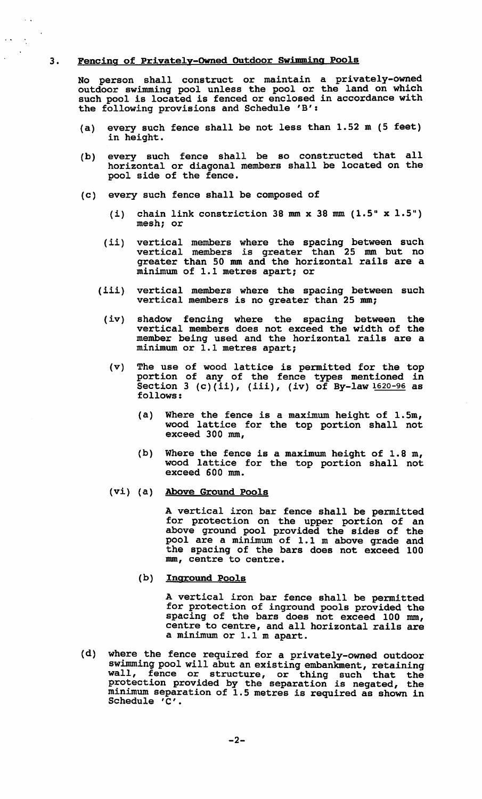## 3. Fencing of privately-Owned Outdoor SWimming Pools

 $\mathcal{A}$ 

 $\sim 10^7$  $\ddot{\mathcal{L}}$  $\ddot{\phantom{a}}$ 

 $\ddot{\phantom{a}}$ 

No person shall construct or maintain a privately-owned outdoor swimming pool unless the pool or the land on which such pool is located is fenced or enclosed in accordance with the following provisions and Schedule 'B':

- (a) every such fence shall be not less than 1.52 m (5 feet) in height.
- (b) every such fence shall be so constructed that all horizontal or diagonal members shall be located on the pool side of the fence.
- (c) every such fence shall be composed of
	- (i) chain link constriction 38 mm x 38 mm  $(1.5" \times 1.5")$ mesh; or
	- (ii) vertical members where the spacing between such vertical members is greater than 25 mm but no greater than 50 mm and the horizontal rails are a minimum of 1.1 metres apart; or
	- (iii) vertical members where the spacing between such vertical members is no greater than 25 mm;
		- (iv) shadow fencing where the spacing between the vertical members does not exceed the width of the member being used and the horizontal rails are a minimum or 1.1 metres apart;
		- (v) The use of wood lattice is permitted for the top portion of any of the fence types mentioned in portion of any of the fence types mentioned in<br>Section 3 (c)(ii), (iii), (iv) of By-law 1620-96 as follows:
			- (a) Where the fence is a maximum height of 1.5m, wood lattice for the top portion shall not exceed 300 mm,
			- (b) Where the fence is a maximum height of  $1.8 \text{ m}$ , wood lattice for the top portion shall not exceed 600 mm.
		- (vi) (a) Above Ground Pools

A vertical iron bar fence shall be permitted for protection on the upper portion of an above ground pool provided the sides of the pool are a minimum of 1.1 m above grade and the spacing of the bars does not exceed 100 mm, centre to centre.

(b) Inground Pools

A vertical iron bar fence shall be permitted for protection of inground pools provided the spacing of the bars does not exceed 100 mm, centre to centre, and all horizontal rails are a minimum or 1.1 m apart.

(d) where the fence required for a privately-owned outdoor swimming pool will abut an existing embankment, retaining wall, fence or structure, or thing such that the protection provided by the separation is negated, the minimum separation of 1.5 metres is required as shown in Schedule 'C'.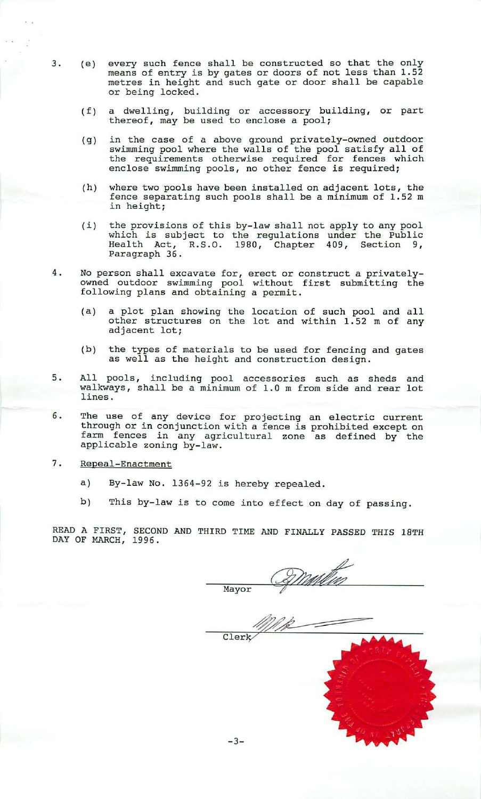- 3. (e) every such fence shall be constructed so that the only means of entry is by gates or doors of not less than 1.52 metres in height and such gate or door shall be capable or being locked.
	- $(f)$ a dwelling, thereof, may building or accessory building, be used to enclose a pool; or part
	- $(g)$ in the case of a above ground privately-owned outdoor swimming pool where the walls of the pool satisfy all of the requirements otherwise required for fences which enclose swimming pools, no other fence is required;
	- (h) where two pools have been installed on adjacent lots, the fence separating such pools shall be a minimum of 1.52 m in height;
	- (i) the provisions of this by-law shall not apply to any pool which is subject to the regulations under the Public Health Act, R.S.O. 1980, Chapter 409, Section 9, Paragraph 36.
- 4. No person shall excavate for, erect or construct a privatelyowned outdoor swimming pool without first submitting the following plans and obtaining a permit.
	- (a) a plot plan showing the location of such pool and all other structures on the lot and within 1.52 m of any adjacent lot;
	- (b) the types of materials to be used for fencing and gates as well as the height and construction design.
- 5. All pools, including pool accessories such as sheds walkways, shall be a minimum of 1.0 m from side and rear lines . and lot
- 6. The use of any device for projecting an electric current through or in conjunction with a fence is prohibited except on farm fences in any agricultural zone as defined by the applicable zoning by-law.
- 7. Repeal-Enactment
	- a) By-law No. 1364-92 is hereby repealed.
	- b) This by-law is to come into effect on day of passing.

READ A FIRST, SECOND AND THIRD TIME AND FINALLY PASSED THIS 18TH DAY OF MARCH, 1996.

Mullin Mayor

Clerk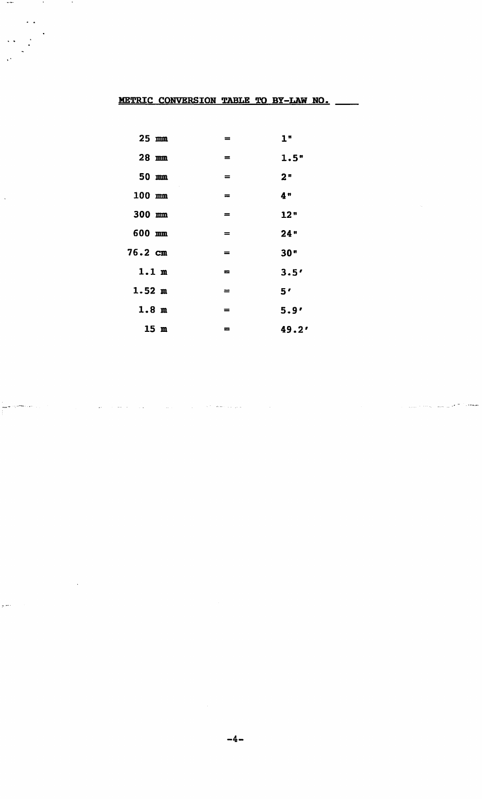## METRIC CONVERSION TABLE TO BY-LAW NO.

 $\sim$  100  $\sim$ 

 $\ddot{\cdot}$ 

i<br>Alik Simmoni<br>C

 $\overline{a}$ 

 $\hat{\mathcal{A}}$ 

 $\cdot$ 

 $\ddot{\cdot}$ 

 $\sim$ 

| $25 \text{ mm}$   | =                                            | 1"    |
|-------------------|----------------------------------------------|-------|
| $28$ mm           | $=$                                          | 1.5"  |
| 50 mm             | $\displaystyle \qquad \qquad =\qquad \qquad$ | 2"    |
| $100$ mm          | $=$                                          | 4"    |
| 300 mm            | $=$                                          | 12"   |
| 600 mm            | $=$                                          | 24"   |
| $76.2 \text{ cm}$ | $=$                                          | 30"   |
| 1.1 <sub>m</sub>  | $\equiv$                                     | 3.5'  |
| $1.52 \text{ m}$  | $\equiv$                                     | 5'    |
| 1.8 <sub>m</sub>  | =                                            | 5.9'  |
| 15m               | =                                            | 49.2' |

 $\hat{f}_{\rm{max}}$  and  $\hat{f}_{\rm{max}}$  are the set of the set of the set of the set of the set of the  $\hat{f}_{\rm{max}}$ 

, where  $\sigma$  are  $\omega$  , and  $\omega$  at  $\pi$  . The component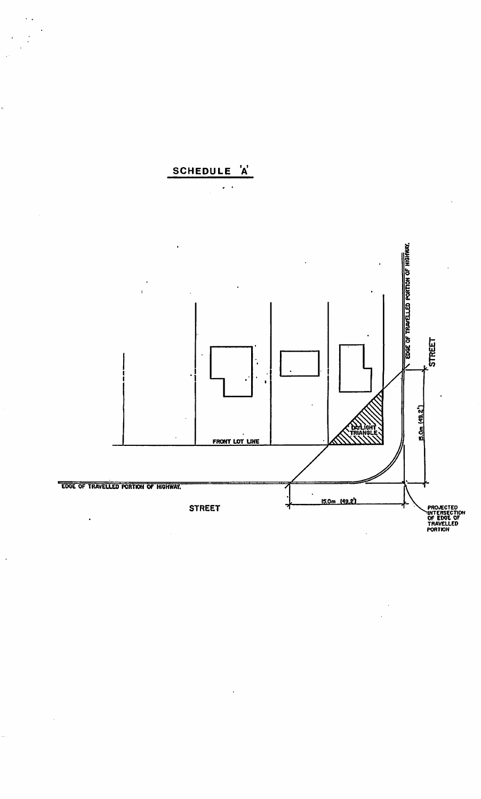

 $\ddot{\cdot}$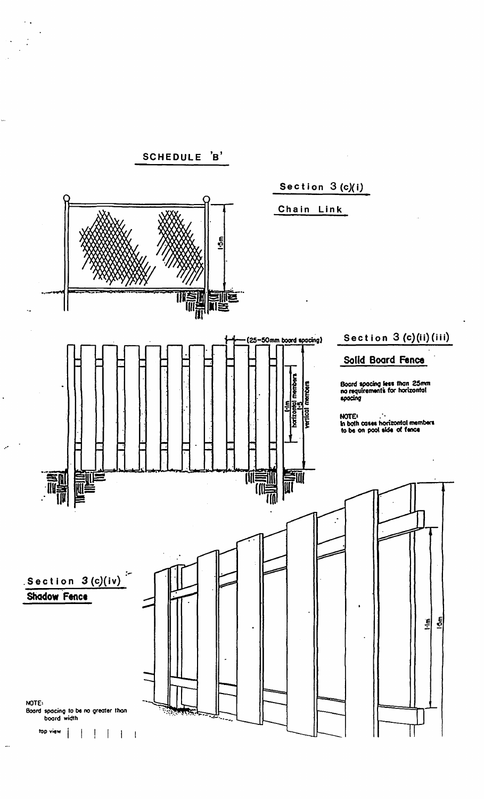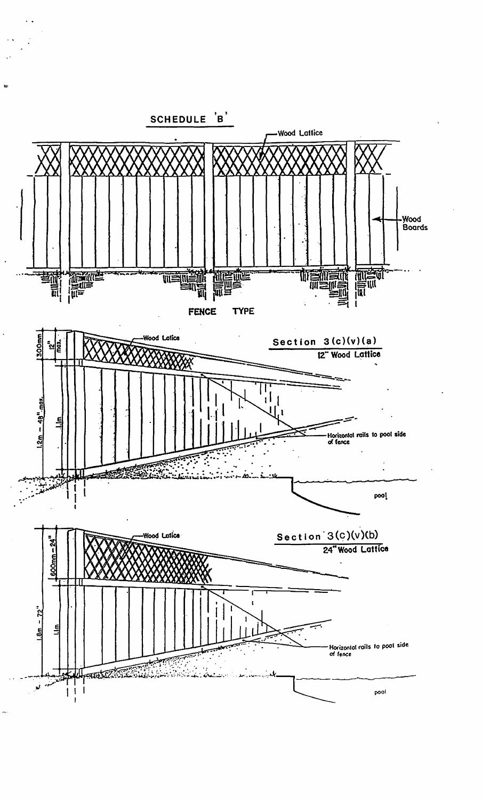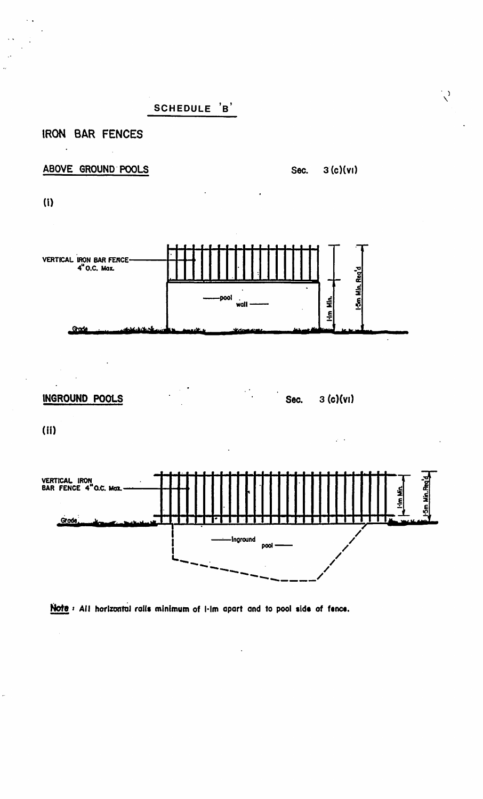SCHEDULE 'B'

IRON BAR FENCES

ABOVE GROUND POOLS

 $3(c)(vi)$ Sec.

 $\sqrt{2}$ 

 $(1)$ 

 $\bar{\beta}$